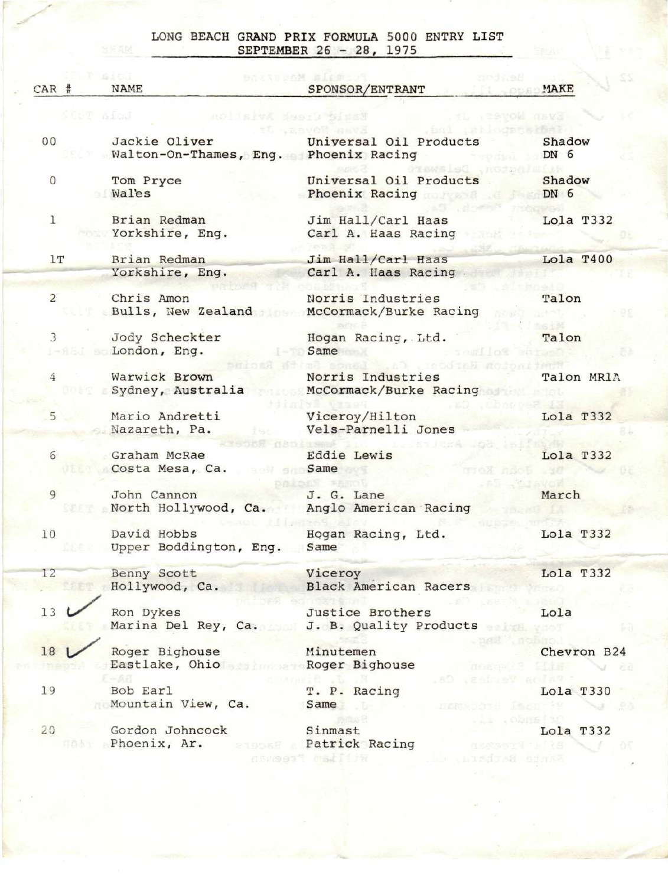## LONG BEACH GRAND PRIX FORMULA 5000 ENTRY LIST SEPTEMBER 26 - 28, 1975

| CAR #                           | <b>NAME</b>                             | SPONSOR/ENTRANT                                                 | MAKE             |
|---------------------------------|-----------------------------------------|-----------------------------------------------------------------|------------------|
|                                 | Lola Tale                               | nolisles swede afinat                                           | <b>TISVA</b>     |
| 0 <sup>0</sup>                  | Jackie Oliver                           | Universal Oil Products<br>Walton-On-Thames, Eng. Phoenix Racing | Shadow<br>$DN$ 6 |
| $\Omega$                        | Tom Pryce<br>Wales                      | Universal Oil Products<br>Phoenix Racing                        | Shadow<br>DN 6   |
| 1                               | Brian Redman<br>Yorkshire, Eng.         | Jim Hall/Carl Haas<br>Carl A. Haas Racing                       | Lola T332        |
| 1T                              | Brian Redman<br>Yorkshire, Eng.         | Jim Hall/Carl Haas<br>Carl A. Haas Racing                       | Lola T400        |
| $\overline{2}$                  | Chris Amon<br>Bulls, New Zealand        | Norris Industries<br>McCormack/Burke Racing                     | Talon            |
| $\overline{3}$<br>$1 - 9.8 - 1$ | Jody Scheckter<br>London, Eng.          | Hogan Racing, Ltd.<br>Same                                      | Talon            |
| 4                               | Warwick Brown<br>Sydney, Australia      | Norris Industries<br>McCormack/Burke Racing                     | Talon MR1A       |
| 5 <sup>5</sup>                  | Mario Andretti<br>Nazareth, Pa.         | Viceroy/Hilton<br>Vels-Parnelli Jones                           | Lola T332        |
| 6                               | Graham McRae<br>Costa Mesa, Ca.         | <b>Eddie Lewis</b><br>Same                                      | Lola T332        |
| 9                               | John Cannon<br>North Hollywood, Ca.     | J. G. Lane<br>Anglo American Racing                             | March            |
| 10                              | David Hobbs<br>Upper Boddington, Eng.   | Hogan Racing, Ltd.<br>Same                                      | Lola T332        |
| 12                              | Benny Scott<br>Hollywood, Ca.           | Viceroy<br><b>Black American Racers</b>                         | Lola T332        |
| 13                              | Ron Dykes<br>Marina Del Rey, Ca.        | Justice Brothers<br>J. B. Quality Products                      | Lola             |
| 18                              | Roger Bighouse<br>Eastlake, Ohio        | Minutemen<br>Roger Bighouse<br><b>NOSCHOL</b>                   | Chevron B24      |
| 19                              | $-68$<br>Bob Earl<br>Mountain View, Ca. | 20 日本大和日本社<br>T. P. Racing<br>Same                              | Lola T330        |
| 20                              | Gordon Johncock<br>Phoenix, Ar.         | Sinmast<br>Patrick Racing                                       | Lola T332        |

**Patrick Racing** NSWeet? mailler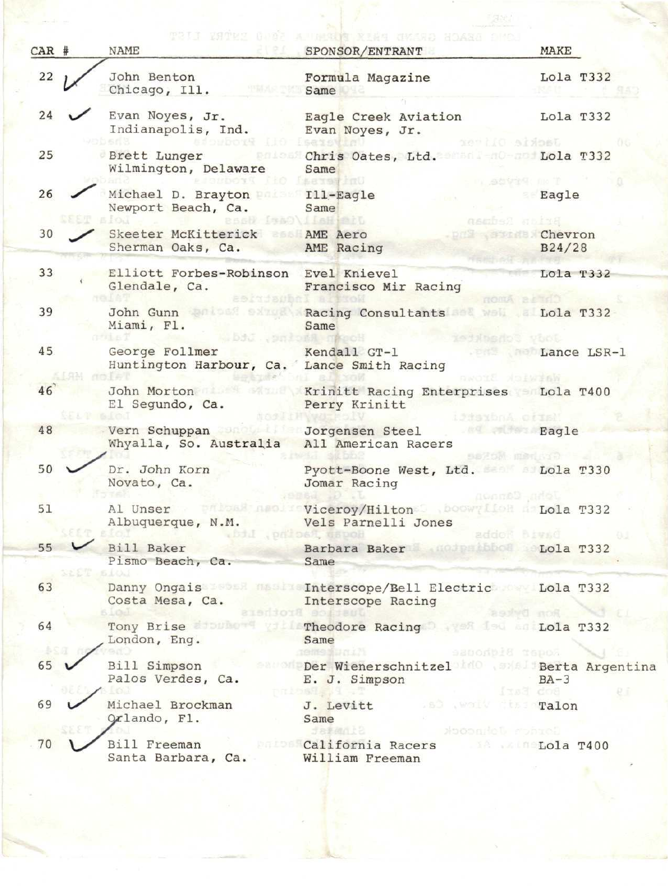| $CAR$ # | NAME                                                         | SPONSOR/ENTRANT                                                                                              | MAKE                     |
|---------|--------------------------------------------------------------|--------------------------------------------------------------------------------------------------------------|--------------------------|
| 22      | John Benton<br>Chicago, Ill.                                 | Formula Magazine<br>Same<br>94                                                                               | Lola T332                |
| 24      | Evan Noyes, Jr.<br>Indianapolis, Ind.                        | Eagle Creek Aviation<br>Evan Noyes, Jr.<br>Jackie Disc                                                       | Lola T332                |
| 25      | Brett Lunger<br>RAIGHN<br>Wilmington, Delaware               | Chris Oates, Ltd. Lola T332<br>Same<br>Uniters<br>m. satytek m: T                                            |                          |
| 26      | Michael D. Brayton<br>Newport Beach, Ca.                     | Ill-Eagle<br>Same<br><b>Janjail</b>                                                                          | Eagle                    |
| 30      | Skeeter McKitterick AME Aero<br>Sherman Oaks, Ca.            | Rettbel<br><b>Chevron</b><br>AME Racing                                                                      | HLIME<br>B24/28          |
| 33      | Elliott Forbes-Robinson Evel Knievel<br>Glendale, Ca.        | Francisco Mir Racing<br><b>HOMA BATED</b>                                                                    | Lola T332                |
| 39      | Miami, Fl.                                                   | John Gunn anison says Racing Consultants & Well & Lola T332<br>Same<br><b>Individual</b><br><b>MAGNOL</b>    | VOOL                     |
| 45      | George Follmer<br>Huntington Harbour, Ca. Lance Smith Racing | Kendall GT-1<br>WAINICK STOWN                                                                                | . De Lance LSR-1         |
| 46      | John Morton Norton<br>El Segundo, Ca.                        | Krinitt Racing Enterprises Lola T400<br>Perry Krinitt<br>JisibnA cilsi                                       |                          |
| 48      | Vern Schuppan<br>Whyalla, So. Australia                      | Eagle<br>Jorgensen Steel<br>All American Racers<br>BOZON MONACO -                                            |                          |
| 50      | Dr. John Korn<br>Novato, Ca.                                 | Pyott-Boone West, Ltd. Lola T330<br>Jomar Racing                                                             |                          |
| 51      | Al Unser<br>Albuquerque, N.M.<br>Rogan Racinq, Ltd.          | $\mu$ onma $\mathbb{S}$<br>prices naoir Viceroy/Hilton . boow files a Lola T332<br>Vels Parnelli Jones       | Bivad                    |
| 55      | Bill Baker<br>Pismo Beach, Ca.<br><b>SIG</b>                 | addon<br>Barbara Baker Lola T332<br>Same                                                                     | - 94                     |
| 63      | Costa Mesa, Ca.                                              | Danny Ongais South Mass Interscope/Bell Electric Cola T332<br>Interscope Racing                              |                          |
| 64      | e Brothers<br>Tony Brise adouters<br>London, Eng.            | hon Dytes<br>Theodore Racing 198 198 Lola T332<br>Same                                                       |                          |
| 65      | Palos Verdes, Ca.                                            | <b>Temes Daily</b><br>sasonpie rapos<br>Bill Simpson Der Wienerschnitzel MO Berta Argentina<br>E. J. Simpson | $BA-3$                   |
| 69      | Michael Brockman<br>Orlando, Fl.                             | J. Levitt<br>.so , would give ralon<br>Same                                                                  | Bob Earl<br>犯定           |
| 70      | Bill Freeman California Racers<br>Santa Barbara, Ca.         | Sinmast<br>Reproces Jeruscock<br>William Freeman                                                             | <b>EXAMPLE LOLA T400</b> |